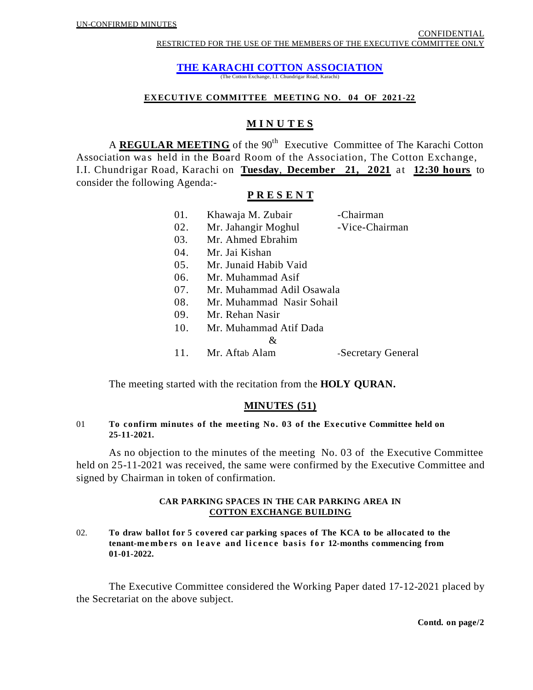**THE KARACHI COTTON ASSOCIATION**

(The Cotton Exchange, I.I. Chundrigar Road, Karachi)

## **EXECUTIVE COMMITTEE MEETING NO. 04 OF 2021-22**

# **M I N U T E S**

A **REGULAR MEETING** of the 90<sup>th</sup> Executive Committee of The Karachi Cotton Association was held in the Board Room of the Association, The Cotton Exchange, I.I. Chundrigar Road, Karachi on **Tuesday**, **December 21, 2021** at **12:30 hours** to consider the following Agenda:-

# **P R E S E N T**

| 01. | Khawaja M. Zubair         | -Chairman          |
|-----|---------------------------|--------------------|
| 02. | Mr. Jahangir Moghul       | -Vice-Chairman     |
| 03. | Mr. Ahmed Ebrahim         |                    |
| 04. | Mr. Jai Kishan            |                    |
| 05. | Mr. Junaid Habib Vaid     |                    |
| 06. | Mr. Muhammad Asif         |                    |
| 07. | Mr. Muhammad Adil Osawala |                    |
| 08. | Mr. Muhammad Nasir Sohail |                    |
| 09. | Mr. Rehan Nasir           |                    |
| 10. | Mr. Muhammad Atif Dada    |                    |
|     | &                         |                    |
| 11. | Mr. Aftab Alam            | -Secretary General |

The meeting started with the recitation from the **HOLY QURAN.**

# **MINUTES (51)**

## 01 **To confirm minutes of the meeting No. 03 of the Executive Committee held on 25-11-2021.**

As no objection to the minutes of the meeting No. 03 of the Executive Committee held on 25-11-2021 was received, the same were confirmed by the Executive Committee and signed by Chairman in token of confirmation.

## **CAR PARKING SPACES IN THE CAR PARKING AREA IN COTTON EXCHANGE BUILDING**

02. **To draw ballot for 5 covered car parking spaces of The KCA to be allocated to the tenant-members on leave and licence basis for 12-months commencing from 01-01-2022.**

The Executive Committee considered the Working Paper dated 17-12-2021 placed by the Secretariat on the above subject.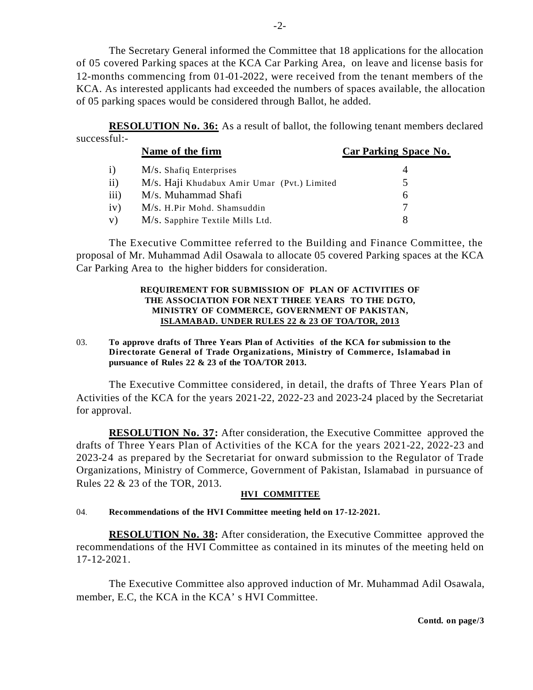The Secretary General informed the Committee that 18 applications for the allocation of 05 covered Parking spaces at the KCA Car Parking Area, on leave and license basis for 12-months commencing from 01-01-2022, were received from the tenant members of the KCA. As interested applicants had exceeded the numbers of spaces available, the allocation of 05 parking spaces would be considered through Ballot, he added.

**RESOLUTION No. 36:** As a result of ballot, the following tenant members declared successful:-

|              | Name of the firm                            | Car Parking Space No. |
|--------------|---------------------------------------------|-----------------------|
| $\mathbf{i}$ | M/s. Shafiq Enterprises                     |                       |
| $\rm ii)$    | M/s. Haji Khudabux Amir Umar (Pvt.) Limited |                       |
| iii)         | M/s. Muhammad Shafi                         | h                     |
| iv)          | M/s. H.Pir Mohd. Shamsuddin                 |                       |
| V)           | M/s. Sapphire Textile Mills Ltd.            |                       |

The Executive Committee referred to the Building and Finance Committee, the proposal of Mr. Muhammad Adil Osawala to allocate 05 covered Parking spaces at the KCA Car Parking Area to the higher bidders for consideration.

## **REQUIREMENT FOR SUBMISSION OF PLAN OF ACTIVITIES OF THE ASSOCIATION FOR NEXT THREE YEARS TO THE DGTO, MINISTRY OF COMMERCE, GOVERNMENT OF PAKISTAN, ISLAMABAD. UNDER RULES 22 & 23 OF TOA/TOR, 2013**

# 03. **To approve drafts of Three Years Plan of Activities of the KCA for submission to the Directorate General of Trade Organizations, Ministry of Commerce, Islamabad in pursuance of Rules 22 & 23 of the TOA/TOR 2013.**

The Executive Committee considered, in detail, the drafts of Three Years Plan of Activities of the KCA for the years 2021-22, 2022-23 and 2023-24 placed by the Secretariat for approval.

**RESOLUTION No. 37:** After consideration, the Executive Committee approved the drafts of Three Years Plan of Activities of the KCA for the years 2021-22, 2022-23 and 2023-24 as prepared by the Secretariat for onward submission to the Regulator of Trade Organizations, Ministry of Commerce, Government of Pakistan, Islamabad in pursuance of Rules 22 & 23 of the TOR, 2013.

# **HVI COMMITTEE**

# 04. **Recommendations of the HVI Committee meeting held on 17-12-2021.**

**RESOLUTION No. 38:** After consideration, the Executive Committee approved the recommendations of the HVI Committee as contained in its minutes of the meeting held on 17-12-2021.

The Executive Committee also approved induction of Mr. Muhammad Adil Osawala, member, E.C, the KCA in the KCA's HVI Committee.